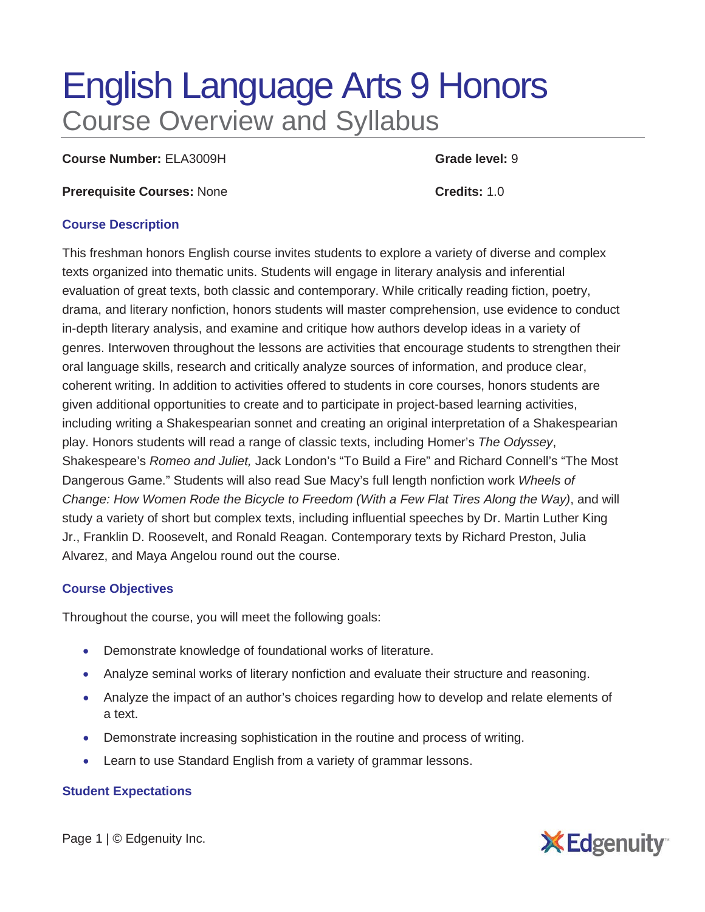# English Language Arts 9 Honors Course Overview and Syllabus

**Course Number:** ELA3009H **Grade level:** 9

**Prerequisite Courses:** None **Credits:** 1.0

#### **Course Description**

This freshman honors English course invites students to explore a variety of diverse and complex texts organized into thematic units. Students will engage in literary analysis and inferential evaluation of great texts, both classic and contemporary. While critically reading fiction, poetry, drama, and literary nonfiction, honors students will master comprehension, use evidence to conduct in-depth literary analysis, and examine and critique how authors develop ideas in a variety of genres. Interwoven throughout the lessons are activities that encourage students to strengthen their oral language skills, research and critically analyze sources of information, and produce clear, coherent writing. In addition to activities offered to students in core courses, honors students are given additional opportunities to create and to participate in project-based learning activities, including writing a Shakespearian sonnet and creating an original interpretation of a Shakespearian play. Honors students will read a range of classic texts, including Homer's *The Odyssey*, Shakespeare's *Romeo and Juliet,* Jack London's "To Build a Fire" and Richard Connell's "The Most Dangerous Game." Students will also read Sue Macy's full length nonfiction work *Wheels of Change: How Women Rode the Bicycle to Freedom (With a Few Flat Tires Along the Way)*, and will study a variety of short but complex texts, including influential speeches by Dr. Martin Luther King Jr., Franklin D. Roosevelt, and Ronald Reagan. Contemporary texts by Richard Preston, Julia Alvarez, and Maya Angelou round out the course.

## **Course Objectives**

Throughout the course, you will meet the following goals:

- Demonstrate knowledge of foundational works of literature.
- Analyze seminal works of literary nonfiction and evaluate their structure and reasoning.
- Analyze the impact of an author's choices regarding how to develop and relate elements of a text.
- Demonstrate increasing sophistication in the routine and process of writing.
- Learn to use Standard English from a variety of grammar lessons.

## **Student Expectations**

Page 1 | © Edgenuity Inc.